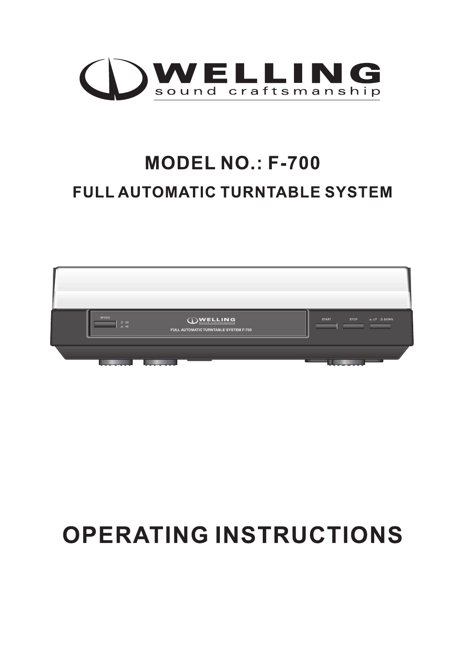

## **MODEL NO.: F-700 FULL AUTOMATIC TURNTABLE SYSTEM**



# **OPERATING INSTRUCTIONS**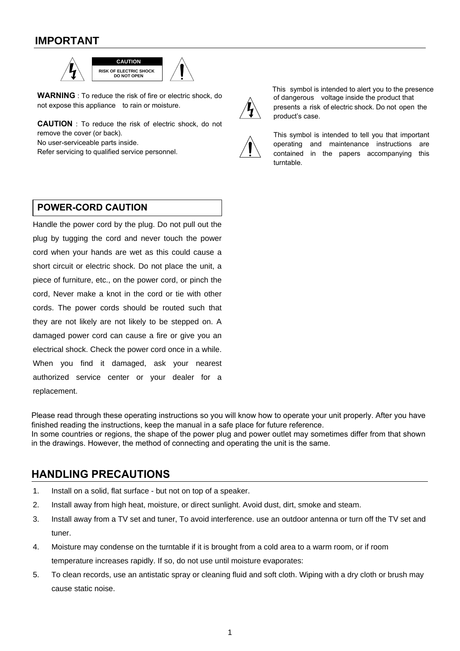## **IMPORTANT**



**WARNING** : To reduce the risk of fire or electric shock, do not expose this appliance to rain or moisture.

**CAUTION** : To reduce the risk of electric shock, do not remove the cover (or back).

No user-serviceable parts inside.

Refer servicing to qualified service personnel.



This symbol is intended to alert you to the presence of dangerous voltage inside the product that presents a risk of electric shock. Do not open the product's case.



This symbol is intended to tell you that important operating and maintenance instructions are contained in the papers accompanying this turntable.

#### **POWER-CORD CAUTION**

Handle the power cord by the plug. Do not pull out the plug by tugging the cord and never touch the power cord when your hands are wet as this could cause a short circuit or electric shock. Do not place the unit, a piece of furniture, etc., on the power cord, or pinch the cord, Never make a knot in the cord or tie with other cords. The power cords should be routed such that they are not likely are not likely to be stepped on. A damaged power cord can cause a fire or give you an electrical shock. Check the power cord once in a while. When you find it damaged, ask your nearest authorized service center or your dealer for a replacement.

Please read through these operating instructions so you will know how to operate your unit properly. After you have finished reading the instructions, keep the manual in a safe place for future reference. In some countries or regions, the shape of the power plug and power outlet may sometimes differ from that shown in the drawings. However, the method of connecting and operating the unit is the same.

#### **HANDLING PRECAUTIONS**

- 1. Install on a solid, flat surface but not on top of a speaker.
- 2. Install away from high heat, moisture, or direct sunlight. Avoid dust, dirt, smoke and steam.
- 3. Install away from a TV set and tuner, To avoid interference. use an outdoor antenna or turn off the TV set and tuner.
- 4. Moisture may condense on the turntable if it is brought from a cold area to a warm room, or if room temperature increases rapidly. If so, do not use until moisture evaporates:
- 5. To clean records, use an antistatic spray or cleaning fluid and soft cloth. Wiping with a dry cloth or brush may cause static noise.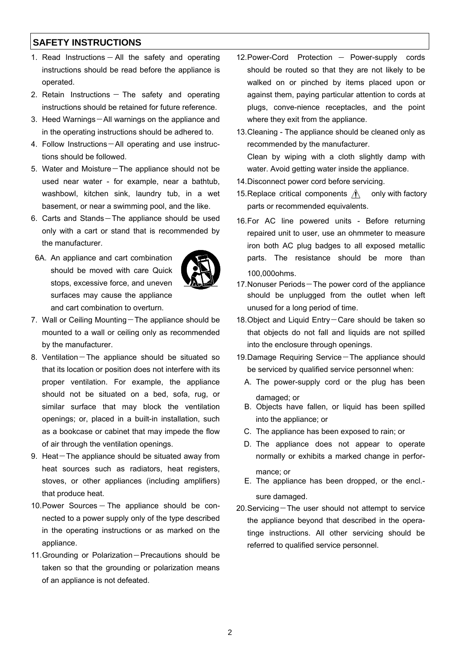### **SAFETY INSTRUCTIONS**

- 1. Read Instructions  $-$  All the safety and operating instructions should be read before the appliance is operated.
- 2. Retain Instructions  $-$  The safety and operating instructions should be retained for future reference.
- 3. Heed Warnings-All warnings on the appliance and in the operating instructions should be adhered to.
- 4. Follow Instructions-All operating and use instructions should be followed.
- 5. Water and Moisture $-$ The appliance should not be used near water - for example, near a bathtub, washbowl, kitchen sink, laundry tub, in a wet basement, or near a swimming pool, and the like.
- 6. Carts and Stands-The appliance should be used only with a cart or stand that is recommended by the manufacturer.
- 6A. An appliance and cart combination should be moved with care Quick stops, excessive force, and uneven surfaces may cause the appliance and cart combination to overturn.



- 7. Wall or Ceiling Mounting-The appliance should be mounted to a wall or ceiling only as recommended by the manufacturer.
- 8. Ventilation $-$ The appliance should be situated so that its location or position does not interfere with its proper ventilation. For example, the appliance should not be situated on a bed, sofa, rug, or similar surface that may block the ventilation openings; or, placed in a built-in installation, such as a bookcase or cabinet that may impede the flow of air through the ventilation openings.
- 9. Heat $-$ The appliance should be situated away from heat sources such as radiators, heat registers, stoves, or other appliances (including amplifiers) that produce heat.
- 10. Power Sources  $-$  The appliance should be connected to a power supply only of the type described in the operating instructions or as marked on the appliance.
- 11. Grounding or Polarization Precautions should be taken so that the grounding or polarization means of an appliance is not defeated.
- 12. Power-Cord Protection  $-$  Power-supply cords should be routed so that they are not likely to be walked on or pinched by items placed upon or against them, paying particular attention to cords at plugs, conve-nience receptacles, and the point where they exit from the appliance.
- 13.Cleaning The appliance should be cleaned only as recommended by the manufacturer. Clean by wiping with a cloth slightly damp with water. Avoid getting water inside the appliance.
- 14.Disconnect power cord before servicing.
- 15. Replace critical components  $\Lambda$  only with factory parts or recommended equivalents.
- 16.For AC line powered units Before returning repaired unit to user, use an ohmmeter to measure iron both AC plug badges to all exposed metallic parts. The resistance should be more than 100,000ohms.
- 17. Nonuser Periods-The power cord of the appliance should be unplugged from the outlet when left unused for a long period of time.
- 18. Object and Liquid Entry-Care should be taken so that objects do not fall and liquids are not spilled into the enclosure through openings.
- 19.Damage Requiring Service-The appliance should be serviced by qualified service personnel when:
	- A. The power-supply cord or the plug has been damaged; or
	- B. Objects have fallen, or liquid has been spilled into the appliance; or
	- C. The appliance has been exposed to rain; or
	- D. The appliance does not appear to operate normally or exhibits a marked change in performance; or
	- E. The appliance has been dropped, or the encl. sure damaged.
- 20.Servicing-The user should not attempt to service the appliance beyond that described in the operatinge instructions. All other servicing should be referred to qualified service personnel.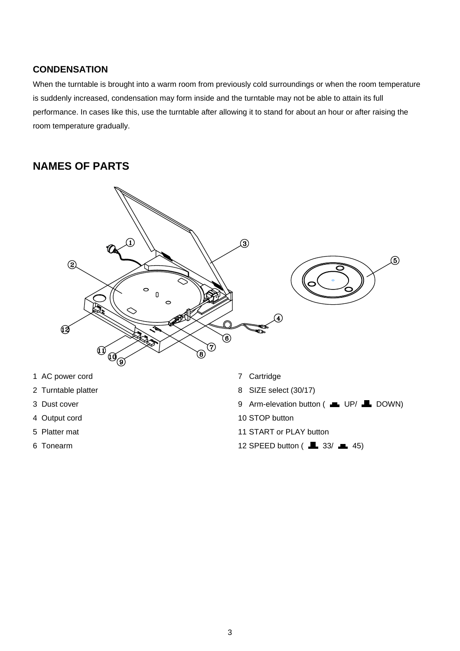#### **CONDENSATION**

When the turntable is brought into a warm room from previously cold surroundings or when the room temperature is suddenly increased, condensation may form inside and the turntable may not be able to attain its full performance. In cases like this, use the turntable after allowing it to stand for about an hour or after raising the room temperature gradually.

## **NAMES OF PARTS**



- 1 AC power cord
- 2 Turntable platter
- 3 Dust cover
- 4 Output cord
- 5 Platter mat
- 6 Tonearm
- 7 Cartridge
- 8 SIZE select (30/17)
- 9 Arm-elevation button ( UP/ LDOWN)
- 10 STOP button
- 11 START or PLAY button
- 12 SPEED button  $(\blacksquare$  33/ $\blacksquare$  45)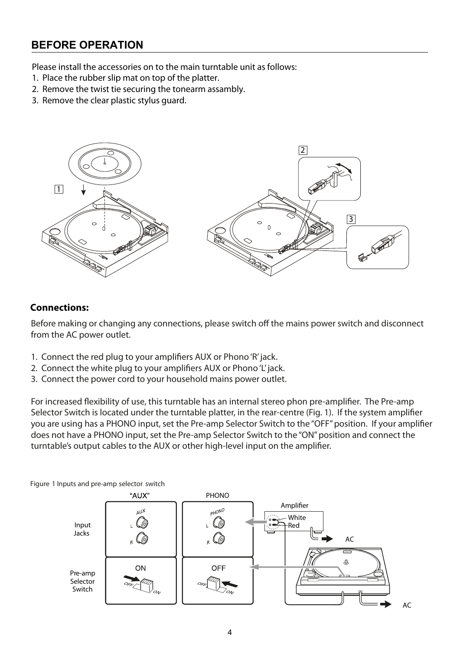## **BEFORE OPERATION**

Please install the accessories on to the main turntable unit as follows:

- 1. Place the rubber slip mat on top of the platter.
- 2. Remove the twist tie securing the tonearm assambly.
- 3. Remove the clear plastic stylus guard.



#### **Connections:**

Before making or changing any connections, please switch off the mains power switch and disconnect from the AC power outlet.

- 1. Connect the red plug to your amplifiers AUX or Phono 'R' jack.
- 2. Connect the white plug to your amplifiers AUX or Phono 'L' jack.
- 3. Connect the power cord to your household mains power outlet.

For increased flexibility of use, this turntable has an internal stereo phon pre-amplifier. The Pre-amp Selector Switch is located under the turntable platter, in the rear-centre (Fig. 1). If the system amplifier you are using has a PHONO input, set the Pre-amp Selector Switch to the "OFF" position. If your amplifier does not have a PHONO input, set the Pre-amp Selector Switch to the "ON" position and connect the turntable's output cables to the AUX or other high-level input on the amplifier.

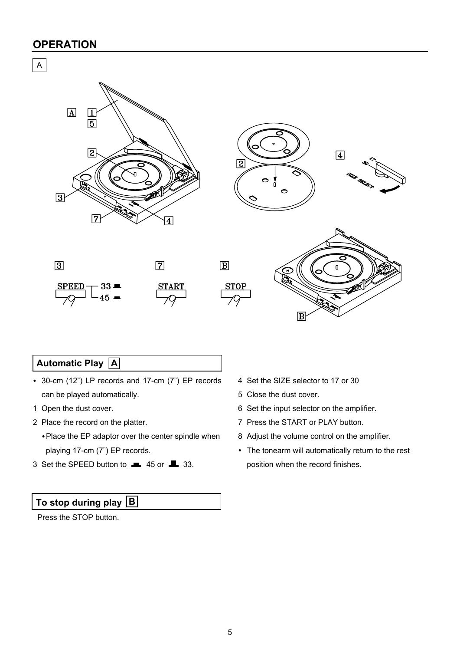### **OPERATION**





### **Automatic Play A**

- 30-cm (12") LP records and 17-cm (7") EP records can be played automatically.
- 1 Open the dust cover.
- 2 Place the record on the platter.
	- Place the EP adaptor over the center spindle when playing 17-cm (7") EP records.
- 3 Set the SPEED button to  $\blacksquare$  45 or  $\blacksquare$  33.

## **To stop during play B**

Press the STOP button.

- 4 Set the SIZE selector to 17 or 30
- 5 Close the dust cover.
- 6 Set the input selector on the amplifier.
- 7 Press the START or PLAY button.
- 8 Adjust the volume control on the amplifier.
- The tonearm will automatically return to the rest position when the record finishes.